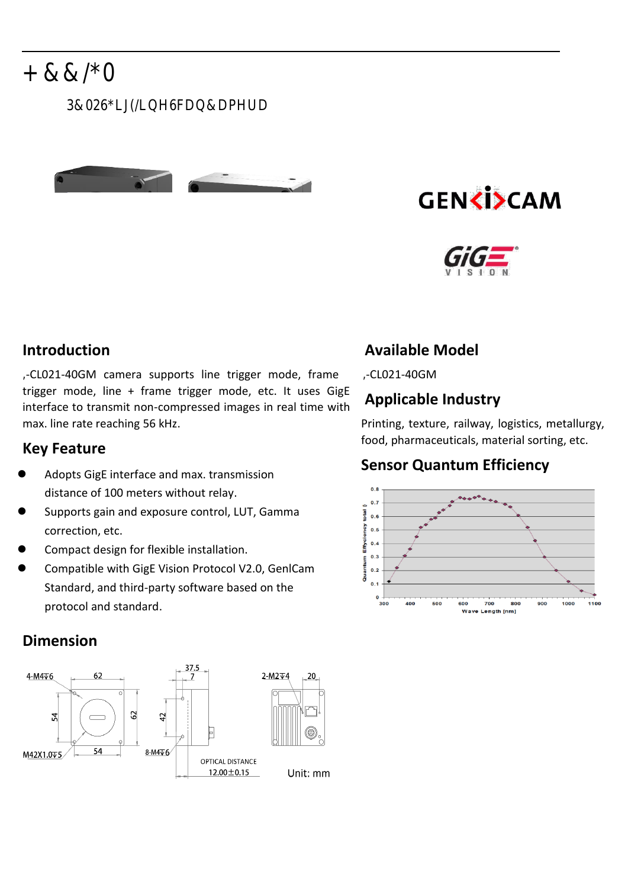# **GENKISCAM**



# **Introduction**

**,**-CL021-40GM camera supports line trigger mode, frame trigger mode, line + frame trigger mode, etc. It uses GigE interface to transmit non-compressed images in real time with max. line rate reaching 56 kHz.

#### **Key Feature**

- Adopts GigE interface and max. transmission distance of 100 meters without relay.
- Supports gain and exposure control, LUT, Gamma correction, etc.
- Compact design for flexible installation.
- Compatible with GigE Vision Protocol V2.0, GenlCam Standard, and third-party software based on the protocol and standard.

#### **Dimension**



### **Available Model**

**,**-CL021-40GM

# **Applicable Industry**

Printing, texture, railway, logistics, metallurgy, food, pharmaceuticals, material sorting, etc.

#### **Sensor Quantum Efficiency**